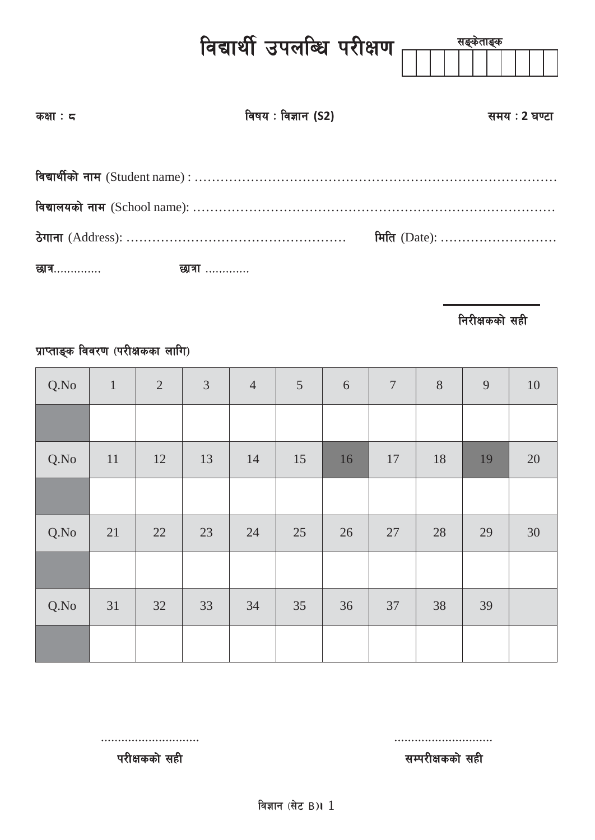|                               | विद्यार्थी उपलब्धि परीक्षण $\frac{1}{\mid\mid\mid\mid\mid}$ | सङ्केताङ्क    |
|-------------------------------|-------------------------------------------------------------|---------------|
| कक्षा : द                     | विषय : विज्ञान (S2)                                         | समय : 2 घण्टा |
|                               |                                                             |               |
|                               |                                                             | मिति (Date):  |
| छात्र……………        छात्रा ………… |                                                             |               |

**निरीक्षकको सही** 

# प्राप्ताङ्क विवरण (परीक्षकका लागि)

| Q.No | $1\,$ | $\overline{2}$ | $\mathfrak{Z}$ | $\overline{4}$ | $\overline{5}$ | 6  | $\boldsymbol{7}$ | $8\,$ | 9  | 10 |
|------|-------|----------------|----------------|----------------|----------------|----|------------------|-------|----|----|
|      |       |                |                |                |                |    |                  |       |    |    |
| Q.No | 11    | 12             | 13             | 14             | 15             | 16 | 17               | 18    | 19 | 20 |
|      |       |                |                |                |                |    |                  |       |    |    |
| Q.No | 21    | 22             | 23             | 24             | 25             | 26 | 27               | 28    | 29 | 30 |
|      |       |                |                |                |                |    |                  |       |    |    |
| Q.No | 31    | 32             | 33             | 34             | 35             | 36 | 37               | 38    | 39 |    |
|      |       |                |                |                |                |    |                  |       |    |    |

परीक्षकको सही $\overline{\mathbf{r}}$ परीक्षकको सही

============================= =============================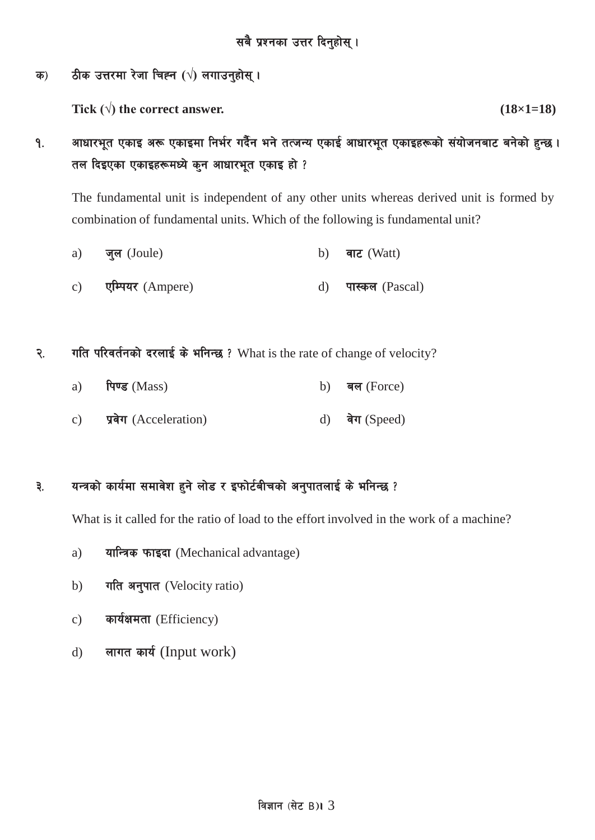#### क) ठीक उत्तरमा रेजा चिह्न ( $\sqrt{}$ ) लगाउन्**होस्** ।

Tick ( $\sqrt{ }$ ) the correct answer. (18×1=18)

१. व्याधारभूत एकाइ अरू एकाइमा निर्भर गर्दैन भने तत्जन्य एकाई आधारभूत एकाइहरूको संयोजनबाट बनेको हुन्छ । तल दिइएका एकाइहरूमध्ये कुन आधारभूत एकाइ हो ?

The fundamental unit is independent of any other units whereas derived unit is formed by combination of fundamental units. Which of the following is fundamental unit?

- a) जुल (Joule) b) वाट (Watt) c) एम्पियर (Ampere) d) पास्कल (Pascal)
- २. गति परिवर्तनको दरलाई के भनिन्छ ? What is the rate of change of velocity?

| a) $\theta$ (Mass)       | b) बल (Force)  |
|--------------------------|----------------|
| c) प्रवेग (Acceleration) | d) वेग (Speed) |

## ३. यन्त्रको कार्यमा समावेश हुने लोड र इफोर्टबीचको अनुपातलाई के भनिन्छ ?

What is it called for the ratio of load to the effort involved in the work of a machine?

- a) यान्त्रिक फाइदा (Mechanical advantage)
- b) गति अनुपात (Velocity ratio)
- c) कार्यक्षमता (Efficiency)
- d) लागत कार्य (Input work)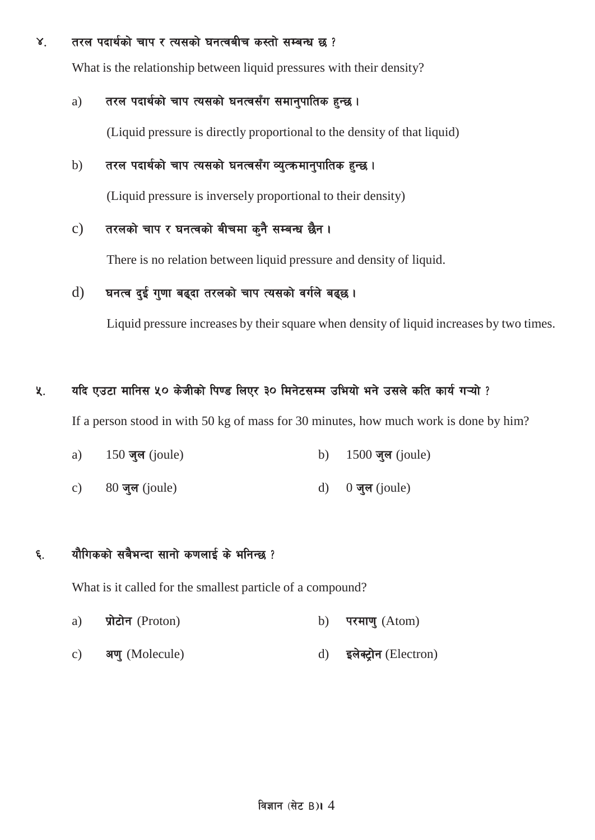#### $\times$  तरल पदार्थको चाप र त्यसको घनत्वबीच कस्तो सम्बन्ध छ ?

What is the relationship between liquid pressures with their density?

#### a) तरल पदार्थको चाप त्यसको घनत्वसँग समानुपातिक हुन्छ।

(Liquid pressure is directly proportional to the density of that liquid)

#### b) तरल पदार्थको चाप त्यसको घनत्वसँग व्युत्क्रमानुपातिक हुन्छ।

(Liquid pressure is inversely proportional to their density)

#### c) तरलको चाप र घनत्वको बीचमा कुनै सम्बन्ध छैन।

There is no relation between liquid pressure and density of liquid.

#### $d)$  घनत्व दई गुणा बढ्दा तरलको चाप त्यसको वर्गले बढ्छ।

Liquid pressure increases by their square when density of liquid increases by two times.

#### **४. विदि एउटा मानिस ५० केजीको पिण्ड लिएर ३० मिनेटसम्म उभियो भने उसले कति कार्य गऱ्यो ?**

If a person stood in with 50 kg of mass for 30 minutes, how much work is done by him?

- a) 150 जल (joule) b) 1500 जल (joule)
- c)  $80 \overline{q}$ ल (joule) d)  $0 \overline{q}$ ल (joule)

#### ६. यौगिकको सबैभन्दा सानो कणलाई के भनिन्छ ?

What is it called for the smallest particle of a compound?

- a) प्रोटोन (Proton) b) परमाणु (Atom)
- c) अण् (Molecule) d) इलेक्ट्रोन (Electron)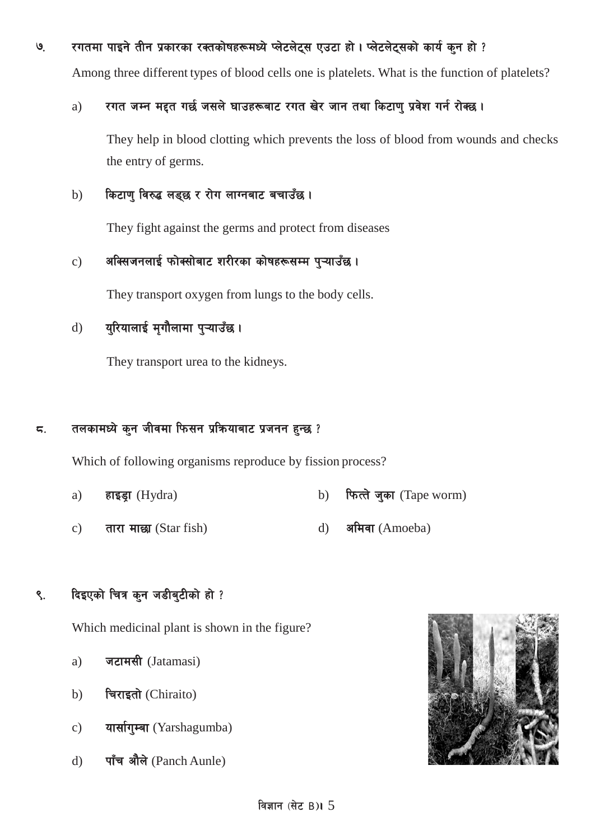## ७. रगतमा पाइने तीन प्रकारका रक्तकोषहरूमध्ये प्लेटलेट्स एउटा हो। प्लेटलेट्सको कार्य कुन हो ?

Among three different types of blood cells one is platelets. What is the function of platelets?

#### a) रगत जम्न मद्दत गर्छ जसले घाउहरूबाट रगत खेर जान तथा किटाण प्रवेश गर्न रोक्छ।

They help in blood clotting which prevents the loss of blood from wounds and checks the entry of germs.

#### b) किटाणु विरुद्ध लड्छ र रोग लाग्नबाट बचाउँछ।

They fight against the germs and protect from diseases

### $\,$ c) अक्सिजनलाई फोक्सोबाट शरीरका कोषहरूसम्म प्ऱ्याउँछ।

They transport oxygen from lungs to the body cells.

# d) युरियालाई मृगौलामा पुऱ्याउँछ।

They transport urea to the kidneys.

#### $\,$ द. तलकामध्ये कुन जीवमा फिसन प्रक्रियाबाट प्रजनन हुन्छ ?

Which of following organisms reproduce by fission process?

- a) हाइड्रा (Hydra) b) फित्ते जुका (Tape worm)
- c) तारा माछा (Star fish)  $d$ ) अमिवा (Amoeba)

## ९. दिइएको चित्र कुन जडीबुटीको हो ?

Which medicinal plant is shown in the figure?

- a) जटामसी (Jatamasi)
- b) चिराइतो (Chiraito)
- c) यार्सागुम्बा (Yarshagumba)
- d) पाँच औले (Panch Aunle)

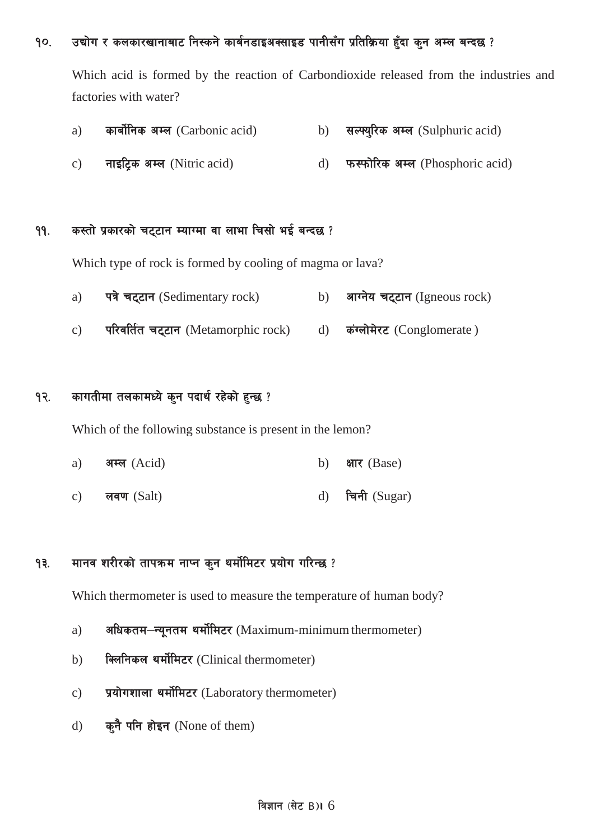#### <u>१</u>०. व्योग र कलकारखानाबाट निस्कने कार्बनडाइअक्साइड पानीसँग प्रतिक्रिया हुँदा कुन अम्ल बन्दछ ?

Which acid is formed by the reaction of Carbondioxide released from the industries and factories with water?

| a) | कार्बोनिक अम्ल (Carbonic acid) | b) सल्फ्युरिक अम्ल (Sulphuric acid) |
|----|--------------------------------|-------------------------------------|
| c) | नाइटिक अम्ल (Nitric acid)      | d) फरफोरिक अम्ल (Phosphoric acid)   |

#### ११. कस्तो प्रकारको चट्टान म्याग्मा वा लाभा चिसो भई बन्दछ ?

Which type of rock is formed by cooling of magma or lava?

- a) पत्रे चट्टान (Sedimentary rock) b) आग्नेय चट्टान (Igneous rock)
- c) परिवर्तित चट्टान (Metamorphic rock) d) कंग्लोमेरट (Conglomerate)

#### १२. कागतीमा तलकामध्ये कुन पदार्थ रहेको हुन्छ ?

Which of the following substance is present in the lemon?

- a) अम्ल (Acid)  $\qquad \qquad$  b) क्षार (Base)
- c) लवण (Salt) d) चिनी (Sugar)

#### १३. मानव शरीरको तापक्रम नाप्न कुन थर्मोमिटर प्रयोग गरिन्छ ?

Which thermometer is used to measure the temperature of human body?

- a) अधिकतम-न्युनतम थर्मोमिटर (Maximum-minimum thermometer)
- b) विलनिकल थर्मोमिटर (Clinical thermometer)
- c) प्रयोगशाला थर्मोमिटर (Laboratory thermometer)
- d) क्<sup>ने</sup> पनि होइन (None of them)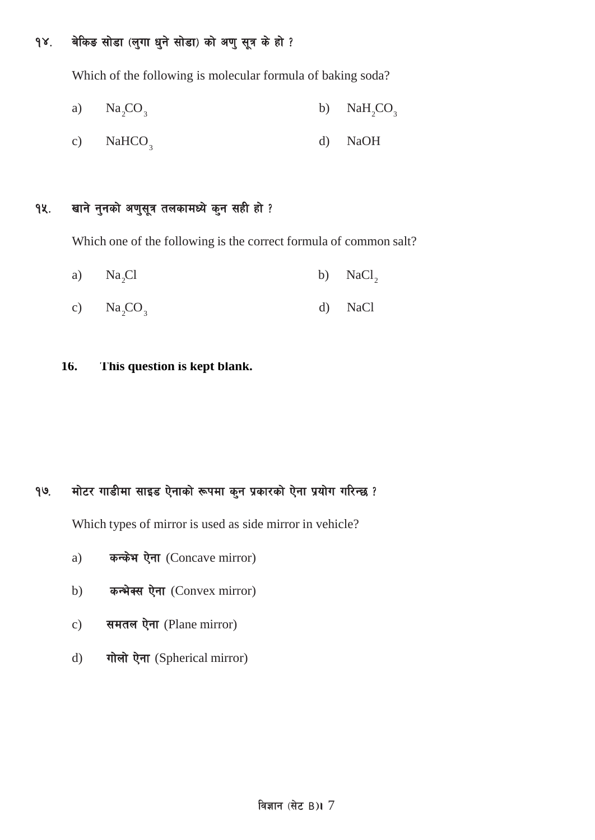### १४. वेकिङ सोडा (लुगा धुने सोडा) को अणु सूत्र के हो ?

Which of the following is molecular formula of baking soda?

2 2 3 3 a) Na CO b) NaH CO

3 c) NaHCO d) NaOH

### १५. खाने नुनको अणुसूत्र तलकामध्ये कुन सही हो ?

Which one of the following is the correct formula of common salt?

- a)  $Na_2Cl$  b)  $NaCl_2$
- c)  $\text{Na}_2\text{CO}_3$  d)  $\text{NaCl}$
- **16. This question is kept blank.**

### १७. मोटर गाडीमा साइड ऐनाको रूपमा कुन प्रकारको ऐना प्रयोग गरिन्छ ?

Which types of mirror is used as side mirror in vehicle?

- a) कन्केभ ऐना (Concave mirror)
- b) कन्भेक्स ऐना (Convex mirror)
- c) समतल ऐना (Plane mirror)
- d) गोलो ऐना (Spherical mirror)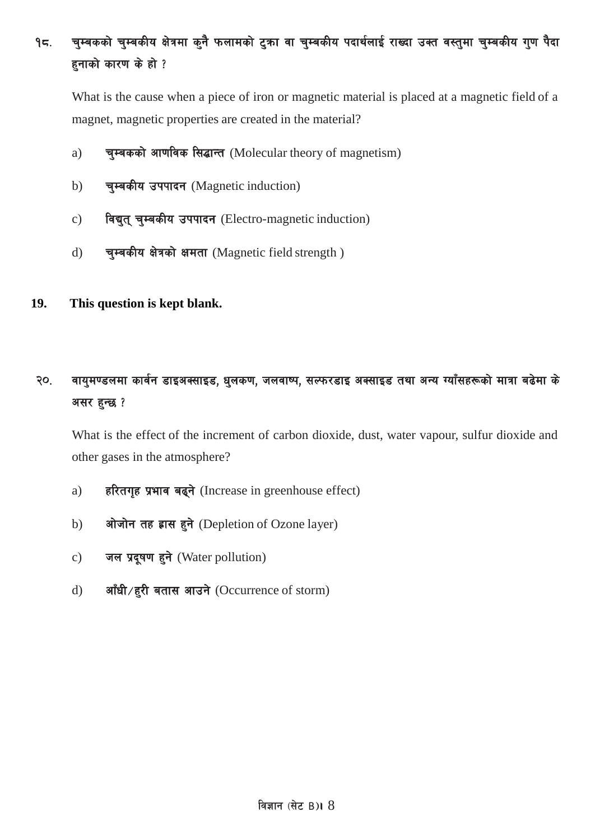#### चुम्बकको चुम्बकीय क्षेत्रमा कुनै फलामको टुका वा चुम्बकीय पदार्थलाई राख्दा उक्त वस्तुमा चुम्बकीय गुण पैदा  $95.$ हनाको कारण के हो ?

What is the cause when a piece of iron or magnetic material is placed at a magnetic field of a magnet, magnetic properties are created in the material?

- चुम्बकको आणविक सिद्धान्त (Molecular theory of magnetism)  $a)$
- चुम्बकीय उपपादन (Magnetic induction)  $b)$
- विद्युत् चुम्बकीय उपपादन (Electro-magnetic induction)  $c)$
- चुम्बकीय क्षेत्रको क्षमता (Magnetic field strength)  $\mathbf{d}$
- 19. This question is kept blank.

#### वायुमण्डलमा कार्वन डाइअक्साइड, धुलकण, जलवाष्प, सल्फरडाइ अक्साइड तथा अन्य ग्याँसहरूको मात्रा बढेमा के २०. असर हुन्छ ?

What is the effect of the increment of carbon dioxide, dust, water vapour, sulfur dioxide and other gases in the atmosphere?

- हरितगृह प्रभाव बढ्ने (Increase in greenhouse effect)  $a)$
- ओजोन तह ह्रास हुने (Depletion of Ozone layer)  $b)$
- जल प्रदूषण हुने (Water pollution)  $\mathbf{c})$
- आँधी/हरी बतास आउने (Occurrence of storm)  $\mathbf{d}$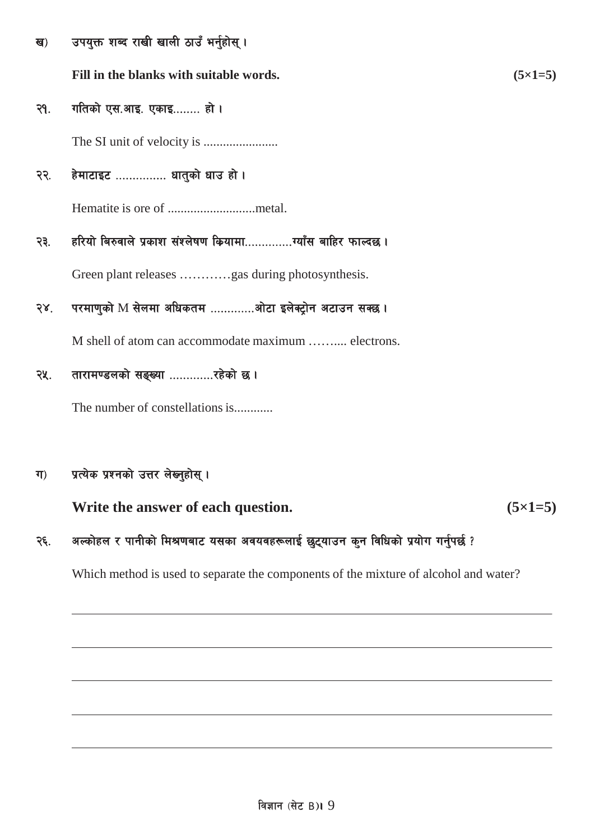| ख)         | उपयुक्त शब्द राखी खाली ठाउँ भर्नुहोस् ।                  |                |
|------------|----------------------------------------------------------|----------------|
|            | Fill in the blanks with suitable words.                  | $(5\times1=5)$ |
| २१.        | गतिको एस.आइ. एकाइ हो ।                                   |                |
|            |                                                          |                |
| २२.        | हेमाटाइट  धातुको धाउ हो ।                                |                |
|            |                                                          |                |
| २३.        | हरियो बिरुवाले प्रकाश संश्लेषण कियामायाँस बाहिर फाल्दछ । |                |
|            | Green plant releases gas during photosynthesis.          |                |
| $58^\circ$ | परमाणुको M सेलमा अधिकतम ओटा इलेक्ट्रोन अटाउन सक्छ ।      |                |
|            | M shell of atom can accommodate maximum  electrons.      |                |
| २५.        | तारामण्डलको सङ्ख्या रहेको छ।                             |                |
|            | The number of constellations is                          |                |
|            |                                                          |                |

#### प्रत्येक प्रश्नको उत्तर लेख्नुहोस् ।  $\Pi$

Write the answer of each question.  $(5 \times 1 = 5)$ 

#### अल्कोहल र पानीको मिश्रणबाट यसका अवयवहरूलाई छुट्याउन कुन विधिको प्रयोग गर्नुपर्छ ? २६.

Which method is used to separate the components of the mixture of alcohol and water?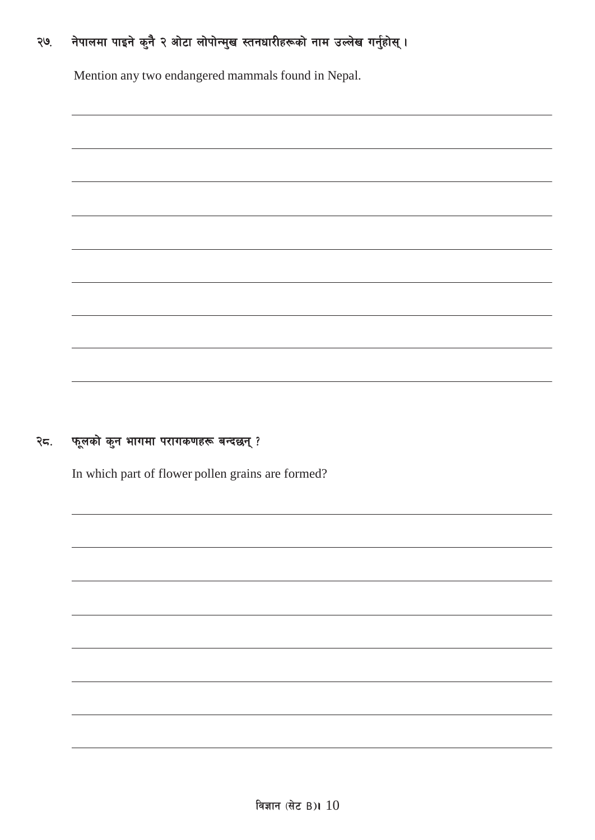# २७. नेपालमा पाइने कुनै २ ओटा लोपोन्मुख स्तनधारीहरूको नाम उल्लेख गर्नुहोस् ।

Mention any two endangered mammals found in Nepal.

# $\mathcal{R}$ द. फूलको कुन भागमा परागकणहरू बन्दछन् ?

In which part of flower pollen grains are formed?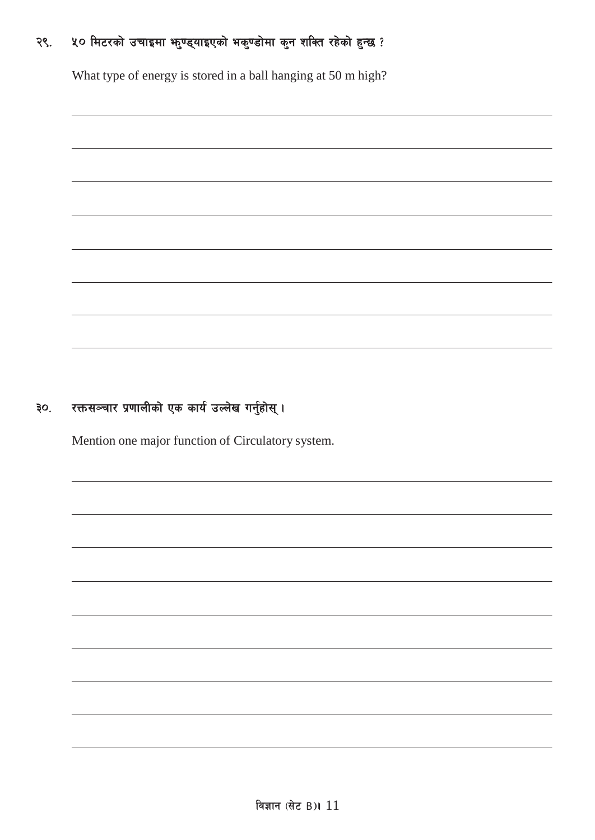#### ५० मिटरको उचाइमा भनुण्ड्याइएको भकुण्डोमा कुन शक्ति रहेको हुन्छ ? २९.

What type of energy is stored in a ball hanging at 50 m high?

#### रक्तसञ्चार प्रणालीको एक कार्य उल्लेख गर्नुहोस् ।  $30<sub>1</sub>$

Mention one major function of Circulatory system.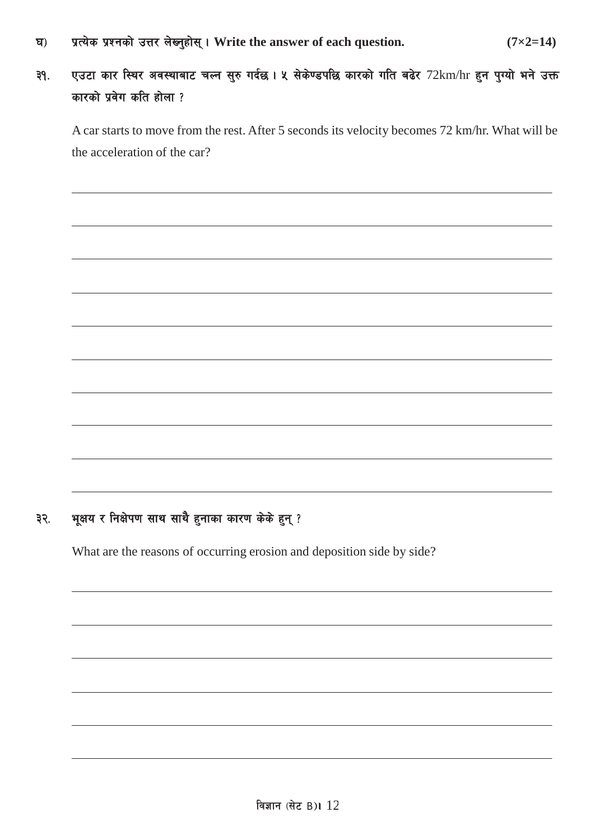- 3\_ k|To]s k|Zgsf] pQ/ n]Vg'xf];\ . **Write the answer of each question. (7×2=14)**
- ३१. एउटा कार स्थिर अवस्थाबाट चल्न सुरु गर्दछ। ५ सेकेण्डपछि कारको गति बढेर 72km/hr हुन पुग्यो भने उक्त कारको प्रवेग कति होला ?

A car starts to move from the rest. After 5 seconds its velocity becomes 72 km/hr. What will be the acceleration of the car?

### ३२. भूक्षय र निक्षेपण साथ साथै हुनाका कारण केके हुन् ?

What are the reasons of occurring erosion and deposition side by side?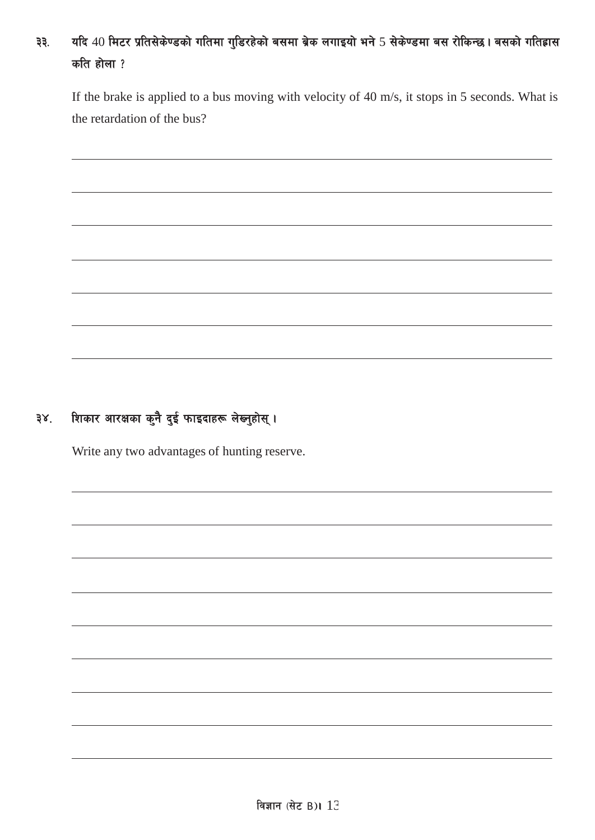# ३३. यदि 40 मिटर प्रतिसेकेण्डको गतिमा गुडिरहेको बसमा ब्रेक लगाइयो भने 5 सेकेण्डमा बस रोकिन्छ। बसको गतिहास कति होला $?$

If the brake is applied to a bus moving with velocity of 40 m/s, it stops in 5 seconds. What is the retardation of the bus?

# ३४. शिकार आरक्षका कुनै दुई फाइदाहरू लेख्नुहोस् ।

Write any two advantages of hunting reserve.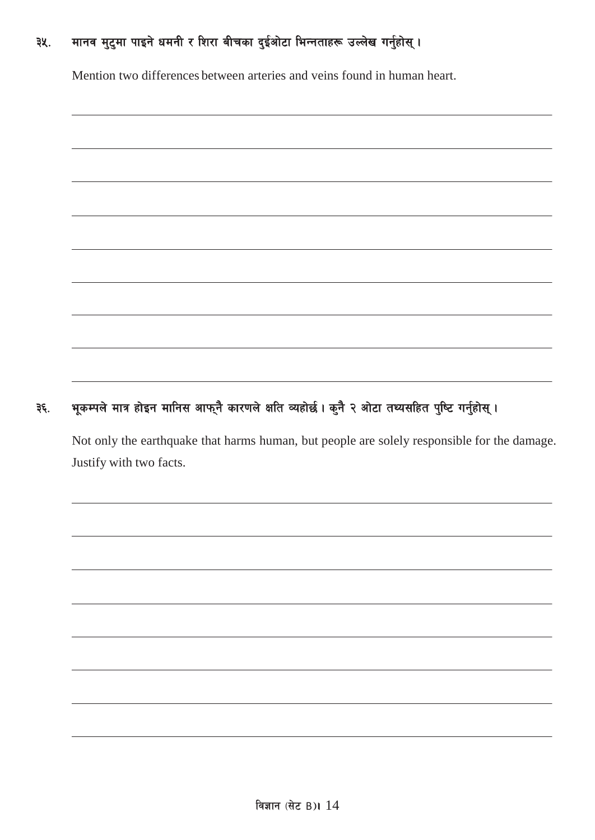# ३५. मानव मुटुमा पाइने धमनी र शिरा बीचका दुईओटा भिन्नताहरू उल्लेख गर्नुहोस् ।

Mention two differences between arteries and veins found in human heart.

# ३६. भूकम्पले मात्र होइन मानिस आफ्नै कारणले क्षति व्यहोर्छ। कुनै २ ओटा तथ्यसहित पुष्टि गर्नुहोस्।

Not only the earthquake that harms human, but people are solely responsible for the damage. Justify with two facts.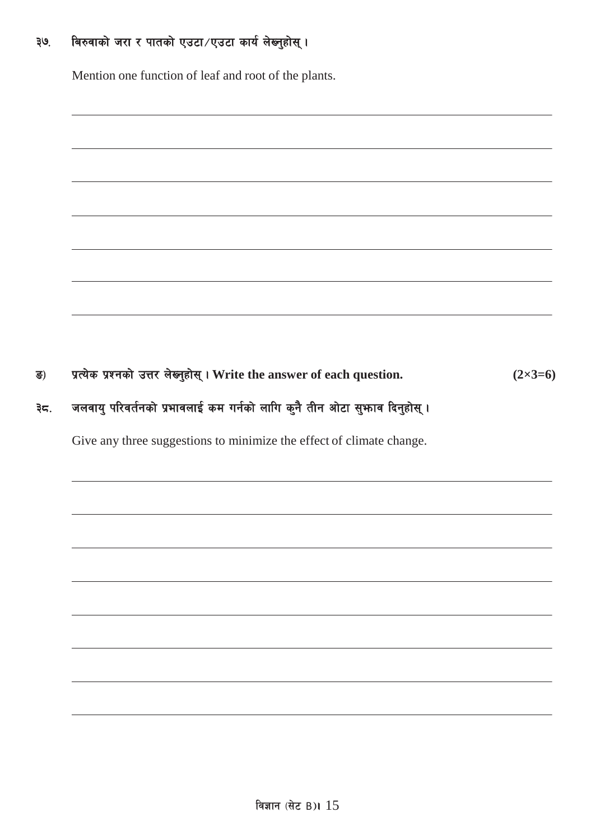#### बिरुवाको जरा र पातको एउटा/एउटा कार्य लेब्नुहोस्। . थह

Mention one function of leaf and root of the plants.

प्रत्येक प्रश्नको उत्तर लेख्नुहोस् । Write the answer of each question. ड)  $(2 \times 3 = 6)$ 

#### जलवायु परिवर्तनको प्रभावलाई कम गर्नको लागि कुनै तीन ओटा सुभाव दिनुहोस् । ३८.

Give any three suggestions to minimize the effect of climate change.